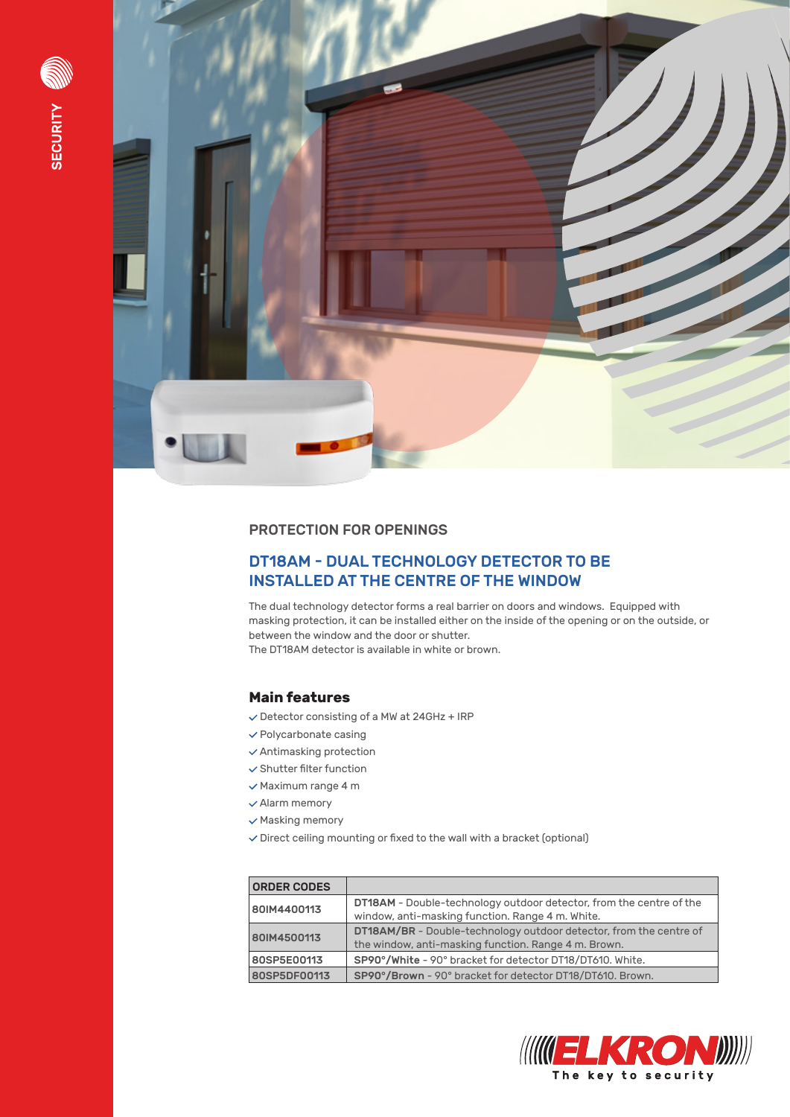



#### PROTECTION FOR OPENINGS

## DT18AM - DUAL TECHNOLOGY DETECTOR TO BE INSTALLED AT THE CENTRE OF THE WINDOW

The dual technology detector forms a real barrier on doors and windows. Equipped with masking protection, it can be installed either on the inside of the opening or on the outside, or between the window and the door or shutter. The DT18AM detector is available in white or brown.

### **Main features**

- $\checkmark$  Detector consisting of a MW at 24GHz + IRP
- $\checkmark$  Polycarbonate casing
- $\checkmark$  Antimasking protection
- $\checkmark$  Shutter filter function
- $\checkmark$  Maximum range 4 m
- $\checkmark$  Alarm memory
- $\checkmark$  Masking memory
- $\vee$  Direct ceiling mounting or fixed to the wall with a bracket (optional)

| <b>ORDER CODES</b> |                                                                                                                                   |  |
|--------------------|-----------------------------------------------------------------------------------------------------------------------------------|--|
| 80IM4400113        | <b>DT18AM</b> - Double-technology outdoor detector, from the centre of the<br>window, anti-masking function. Range 4 m. White.    |  |
| 80IM4500113        | <b>DT18AM/BR</b> - Double-technology outdoor detector, from the centre of<br>the window, anti-masking function. Range 4 m. Brown. |  |
| 80SP5E00113        | SP90°/White - 90° bracket for detector DT18/DT610. White.                                                                         |  |
| 80SP5DF00113       | SP90°/Brown - 90° bracket for detector DT18/DT610. Brown.                                                                         |  |